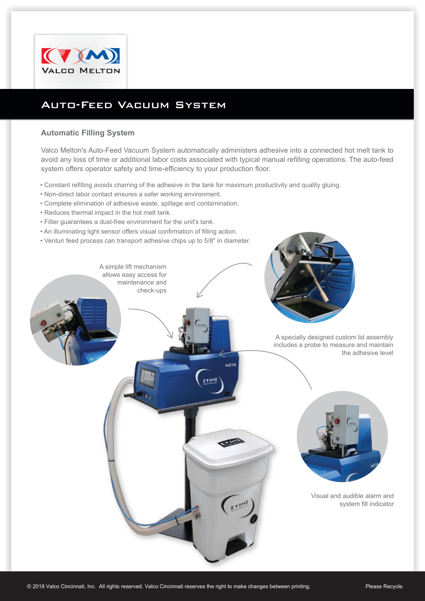

## Auto-Feed Vacuum System

## **Automatic Filling System**

Valco Melton's Auto-Feed Vacuum System automatically administers adhesive into a connected hot melt tank to avoid any loss of time or additional labor costs associated with typical manual refilling operations. The auto-feed system offers operator safety and time-efficiency to your production floor.

- Constant refilling avoids charring of the adhesive in the tank for maximum productivity and quality gluing.
- Non-direct labor contact ensures a safer working environment.
- Complete elimination of adhesive waste, spillage and contamination.
- Reduces thermal impact in the hot melt tank.
- Filter guarantees a dust-free environment for the unit's tank.
- An illuminating light sensor offers visual confirmation of filling action.
- Venturi feed process can transport adhesive chips up to 5/8" in diameter.